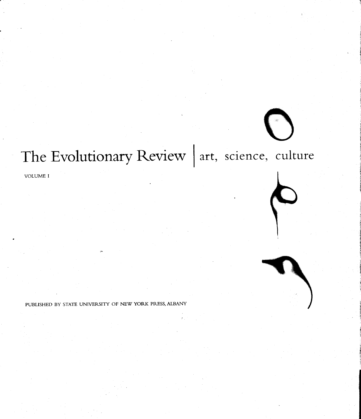# The Evolutionary Review | art. science, culture

VOLUME I

PUBLISHED BY STATE UNIVERSITY OF NEW YORK PRESS, ALBANY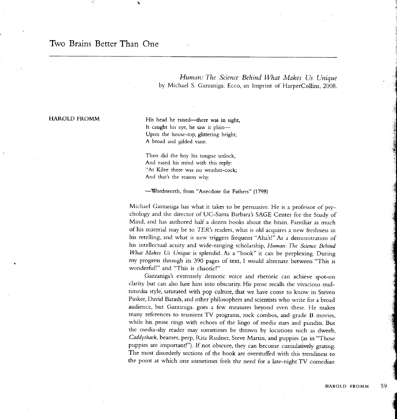## Two Brains Better Than One

Human: The Science Behind What Makes Us Unique by Michael S. Gazzaniga. Ecco, an Imprint of HarperCollins, 2008.

#### HAROLD FROMM

His head he raised-there was in sight, It caught his eye, he saw it plain-Upon the house-top, glittering bright, A broad and gilded vane.

Then did the boy his tongue unlock, And eased his mind with this reply: "At Kilve there was no weather-cock; And that's the reason why.

-Wordsworth, from "Anecdote for Fathers" (1798)

Michael Gazzaniga has what it takes ro be persuasive. He is a professor of psychology and the director of UC-Santa Barbara's SAGE Center for the Study of Mind, and has authored half a dozen books abour the brain. Familiar as much of his material may be to TER's readers, what is old acquires a new freshness in his retelling, and what is new triggers frequent "Aha's!" As a demonstration of his intellectual acuity and wide-ranging scholarship, Human: The Science Behind What Makes Us Unique is splendid. As a "book" it can be perplexing. During my progress through its 390 pages of text, I would alternare berween "This is wonderfull" and "This is chaotic!"

Gazzaniga's extremeiy demotic voice and rhetoric can achieve spot-on clarity but can also lure him into obscurity. His prose recalls the vivacious multimedia sryle, saturated with pop culture, that we have come to know in Steven Pinker, David Barash, and other philosophers and scientists who write for a broad audience, but Gazzaniga. goes a few measures beyond even these. He makes many references to transient TV programs, rock combos, and grade B movies, while his prose rings with echoes of the lingo of media stars and pundits. But the media-shy reader may sometimes be thrown by iocutions such as dweeb, Caddyshack, beamer, perp, Rita Rudner, Sreve Martin, and puppies (as in "Those puppies are important!"). If not obscure, they can become cumulatively grating. The most disorderly sections of the book are overstuffed with this trendiness to the point at which one sometimes feels the need for a late-night TV comedian

 $\mathbf{d}$ .t' t,1,9 .- **Kidor** is a .E 5

7<br>Տ

 $-1$  $\overline{\phantom{a}}$ :i 's I **Experience** sg

> $\frac{1}{2}$ **Add** 20

**Collection** 

{ ,t€5×4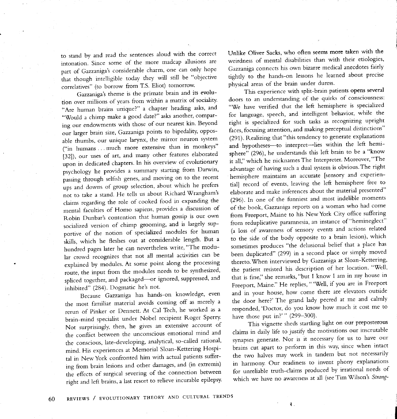to stand by and read the sentences aloud with the correct intonation. Since some of the more madcap allusions are part of Gazzaniga's considerable charm, one can oniy hope that though intelligible today they will still be "objective correlatives" (to borrow from T.S. Eliot) tomorrow'

Gazzaniga's theme is the primate brain and its evolution over millions of years from within a matrix of sociality. "Are human brains unique?" a chapter heading asks, and "Would a chimp make a good date?" asks another, comparing our endowments with those of our nearest kin. Beyond our larger brain size, Gazzaniga points to bipedality, opposable thumbs, our unique larynx, the mirror neuron system ("in humans . . . much more extensive than in monkeys" [32]), our uses of art, and many other features elaborated upon in dedicated chapters. ln his overview of evolutionary psychology he provides a summary starting from Darwin, passing through selfish genes, and moving on to the recent ups and downs of group selection, about which he prefers not to take a stand. He tells us about Richard Wrangham's claims regarding the role of cooked food in expanding the mental faculties of Homo sapiens, provides a discussion of Robin Dunbar's contention that human gossip is our own socialized version of chimp grooming, and is largely supportive of the notion of specialized modules for human skills, which he fleshes out at considerable length. But a hundred pages later he can nevertheless write, "The modular crowd recognizes that not all mental activities can be explained by modules. At some point along the processing route, the input from the modules needs to be synthesized, spliced together, and packaged-or ignored, suppressed, and inhibited" (284). Dogmatic he's not.

Because Gazzaniga has hands-on knowledge, even the most familiar material avoids coming off as merely a rerun of Pinker or Dennett. At Cal Tech, he worked as a brain-mind specialist under Nobel recipient Roger Sperry' Not surprisinglv, then, he gives an extensive account of the conflict between the unconscious emotional mind and the conscious, late-developing, analytical, so-called rational, mind. His experiences at Memorial Sloan-Kettering Hospitai in NewYork confronted him with actual patients suffering from brain lesions and other damages, and (in extremis) the effects of surgical severing of the connection between right and left brains, a last resort to relieve incurable epilepsy. Unlike Oliver Sacks, who often seems more taken with the weirdness of mental disabilities than with their etiologies, Gazzaniga connects his own bizarre medical anecdotes fairly tightly to the hands-on lessons he learned about precise physical areas of the brain under duress.

This experience with split-brain patients opens several doors to an understanding of the quirks of consciousness: "We have verified that the left hemisphere is specialized for language, speech, and inteliigent behavior, while the right is specialized for such tasks as recognizing upright faces, focusing attention, and making perceptual distinctions" (291). Realizing that "this tendency to generate explanations and hypotheses--- to interpret--- lies within the left hemisphere" (296), he understands this left brain to be a "know it all," which he nicknames The Interpreter. Moreover, "The advantage of having such a dual system is obvious. The right hemisphere maintains an accurate [sensory and experiential] record of events, leaving the left hemisphere free to elaborate and make inferences about the material presented" (296). ln one of the funniest and most indelible moments of the book, Gazzaniga reports on a woman who had come from Freeport, Maine to his New York City office suffering from reduplicative paramnesia, an instance of "hemineglect" (a loss of awareness of sensory events and actions related to the side of the body opposite to a brain lesion), which sometimes produces "the delusional beiief that a place has been duplicated" (299) in a second place or simply moved thereto. When interviewed by Gazzaniga at Sloan-Kettering, the patient resisted his description of her location. "Well, that ls fine," she remarks, "but I know I am in my house in Freeport, Maine." He replies, " 'Well, if you are in Freeport and in your house, how come there are elevators outside the door here?'The grand lady peered at me and calmly responded,'Doctor, do you know how much it cost me to have those put in?'" (299-300).

This vignette sheds startling light on our preposterous claims in daily life to justify the motivations our inscrutable synapses generate. Nor is it necessary for us to have our brains cut apart to perform in this way, since when intact the two halves may work in tandem but not necessariiy in harmony. Our readiness to invent phony explanations for unreliable truth-claims produced by irrational needs of which we have no awareness at all (see Tim Wilson's Strang-